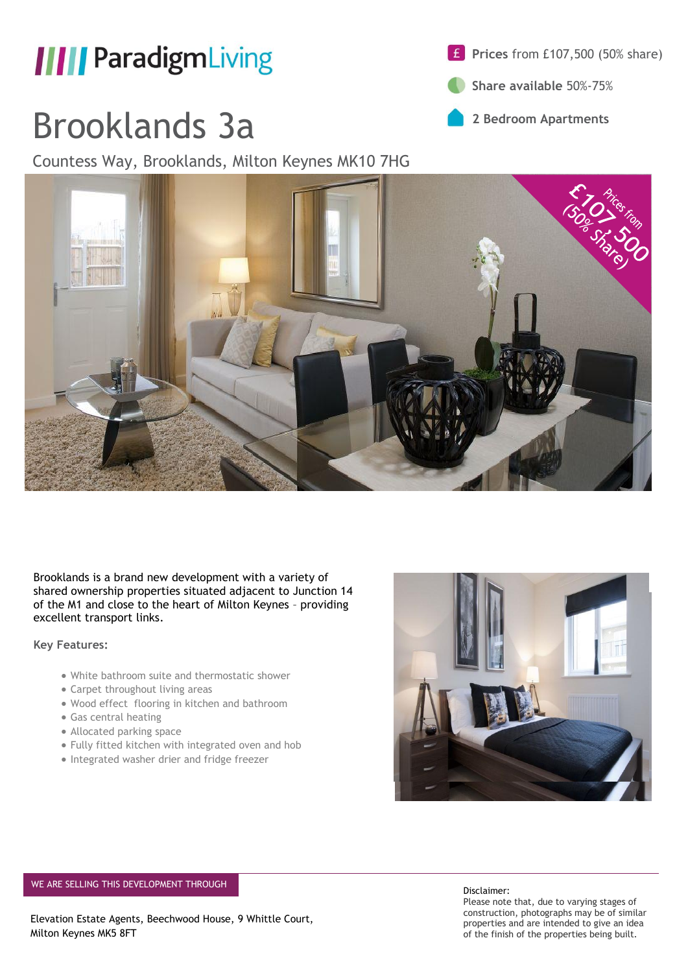

# Brooklands 3a

Countess Way, Brooklands, Milton Keynes MK10 7HG



**Share available** 50%-75%





Brooklands is a brand new development with a variety of shared ownership properties situated adjacent to Junction 14 of the M1 and close to the heart of Milton Keynes – providing excellent transport links.

**Key Features:**

- White bathroom suite and thermostatic shower
- Carpet throughout living areas
- Wood effect flooring in kitchen and bathroom
- Gas central heating
- Allocated parking space
- Fully fitted kitchen with integrated oven and hob
- Integrated washer drier and fridge freezer



#### WE ARE SELLING THIS DEVELOPMENT THROUGH DISCLAIMER CONSIDERED ASSESSED TO DISCLAIMER DISCLAIMER

Elevation Estate Agents, Beechwood House, 9 Whittle Court, Milton Keynes MK5 8FT

Please note that, due to varying stages of construction, photographs may be of similar properties and are intended to give an idea of the finish of the properties being built.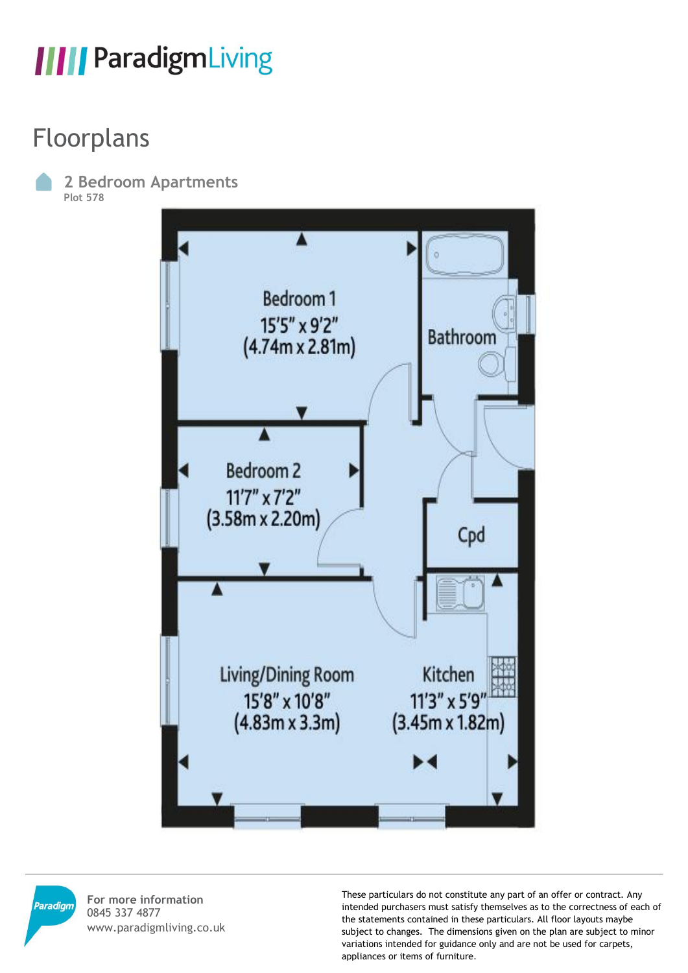#### Floorplans

**2 Bedroom Apartments Plot 578**





**For more information** 0845 337 4877 www.paradigmliving.co.uk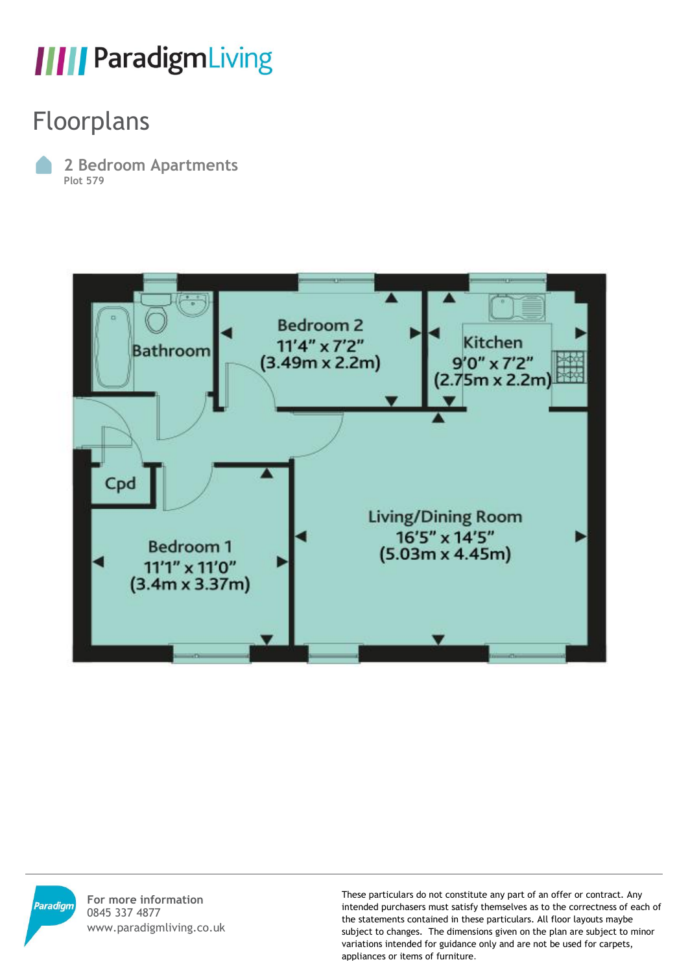#### Floorplans

**2 Bedroom Apartments Plot 579**





**For more information** 0845 337 4877 www.paradigmliving.co.uk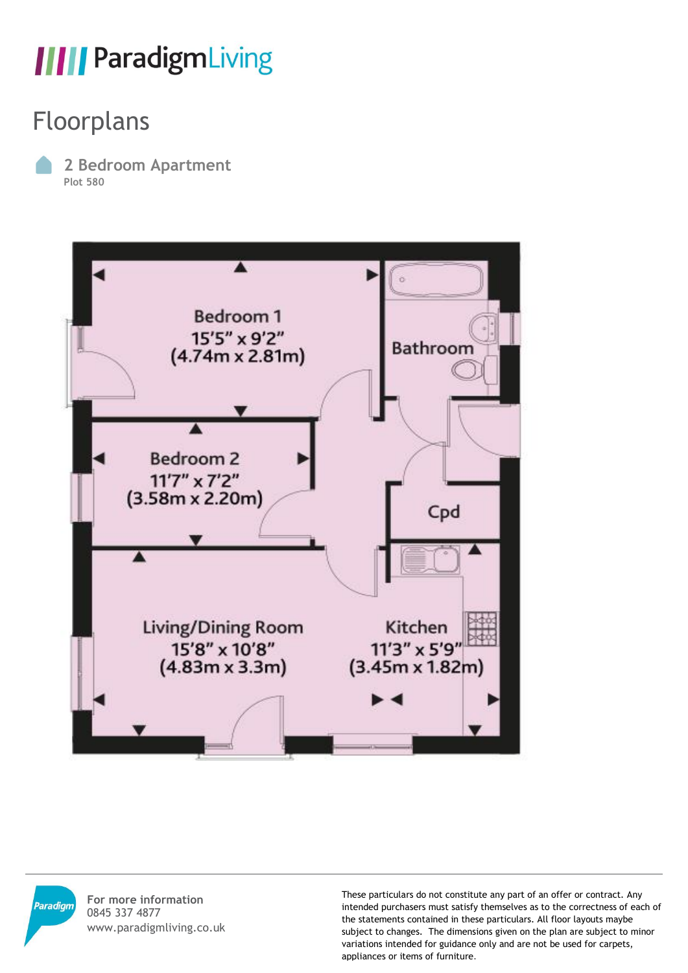#### Floorplans

**2 Bedroom Apartment Plot 580**





**For more information** 0845 337 4877 www.paradigmliving.co.uk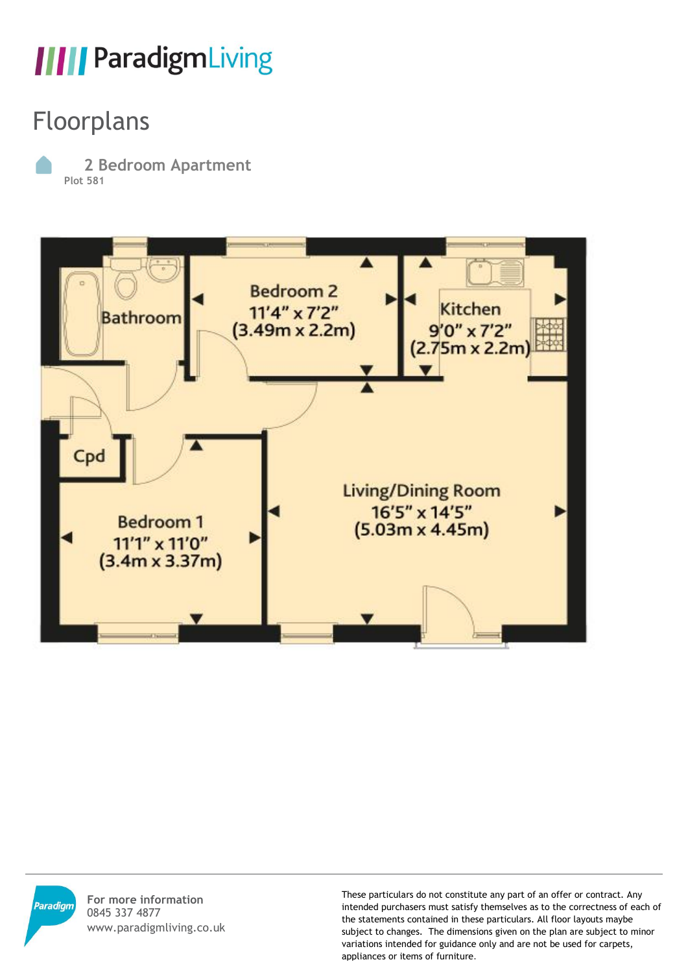#### Floorplans

**2 Bedroom Apartment Plot 581**





**For more information** 0845 337 4877 www.paradigmliving.co.uk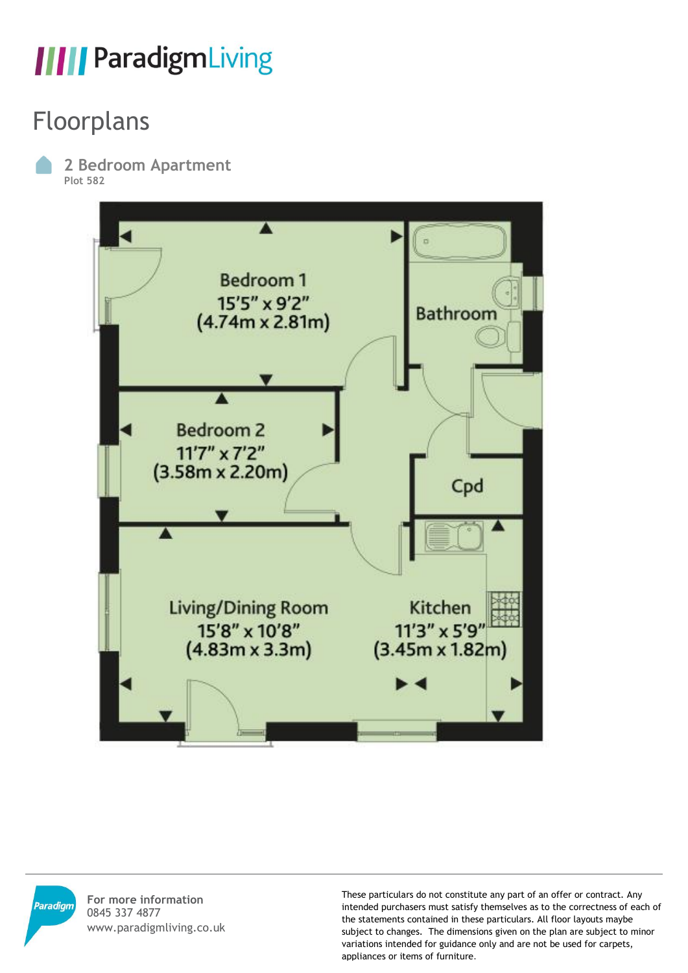#### Floorplans

**2 Bedroom Apartment Plot 582**





**For more information** 0845 337 4877 www.paradigmliving.co.uk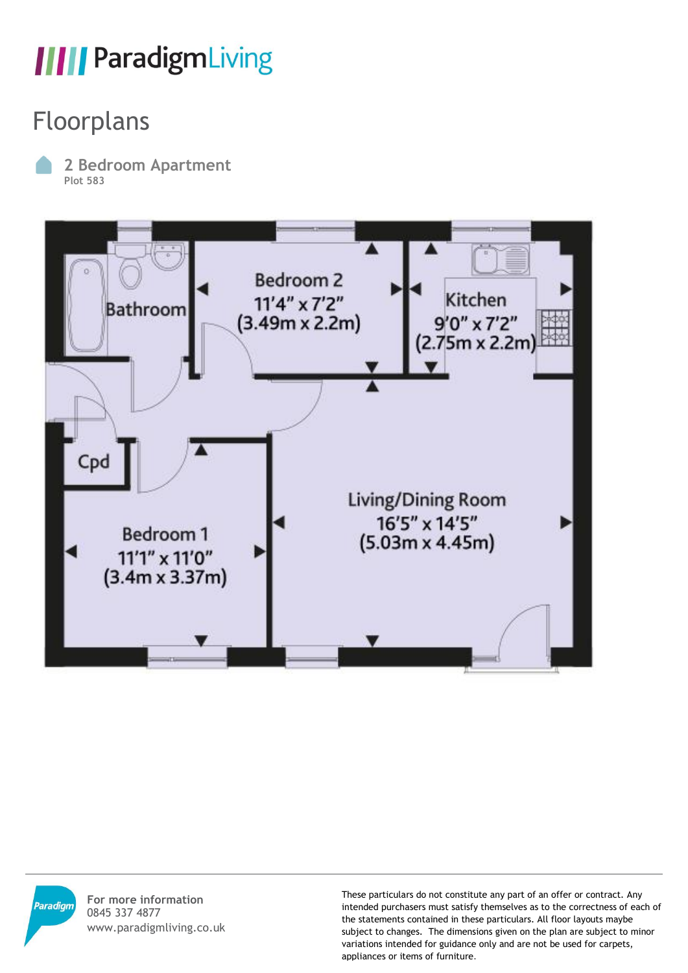#### Floorplans

**2 Bedroom Apartment Plot 583**





**For more information** 0845 337 4877 www.paradigmliving.co.uk